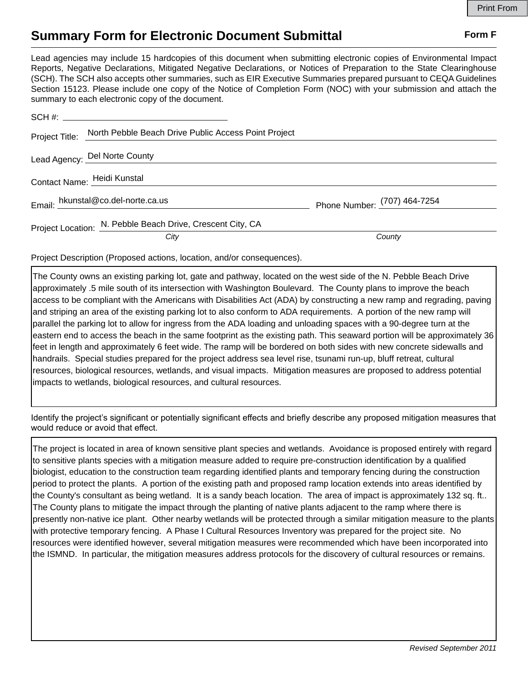## **Summary Form for Electronic Document Submittal Form F Form F**

Lead agencies may include 15 hardcopies of this document when submitting electronic copies of Environmental Impact Reports, Negative Declarations, Mitigated Negative Declarations, or Notices of Preparation to the State Clearinghouse (SCH). The SCH also accepts other summaries, such as EIR Executive Summaries prepared pursuant to CEQA Guidelines Section 15123. Please include one copy of the Notice of Completion Form (NOC) with your submission and attach the summary to each electronic copy of the document.

|  | Project Title: North Pebble Beach Drive Public Access Point Project |                              |
|--|---------------------------------------------------------------------|------------------------------|
|  | Lead Agency: Del Norte County                                       |                              |
|  | Contact Name: Heidi Kunstal                                         |                              |
|  | Email: hkunstal@co.del-norte.ca.us                                  | Phone Number: (707) 464-7254 |
|  | Project Location: N. Pebble Beach Drive, Crescent City, CA          |                              |
|  | City                                                                | County                       |

Project Description (Proposed actions, location, and/or consequences).

The County owns an existing parking lot, gate and pathway, located on the west side of the N. Pebble Beach Drive approximately .5 mile south of its intersection with Washington Boulevard. The County plans to improve the beach access to be compliant with the Americans with Disabilities Act (ADA) by constructing a new ramp and regrading, paving and striping an area of the existing parking lot to also conform to ADA requirements. A portion of the new ramp will parallel the parking lot to allow for ingress from the ADA loading and unloading spaces with a 90-degree turn at the eastern end to access the beach in the same footprint as the existing path. This seaward portion will be approximately 36 feet in length and approximately 6 feet wide. The ramp will be bordered on both sides with new concrete sidewalls and handrails. Special studies prepared for the project address sea level rise, tsunami run-up, bluff retreat, cultural resources, biological resources, wetlands, and visual impacts. Mitigation measures are proposed to address potential impacts to wetlands, biological resources, and cultural resources.

Identify the project's significant or potentially significant effects and briefly describe any proposed mitigation measures that would reduce or avoid that effect.

The project is located in area of known sensitive plant species and wetlands. Avoidance is proposed entirely with regard to sensitive plants species with a mitigation measure added to require pre-construction identification by a qualified biologist, education to the construction team regarding identified plants and temporary fencing during the construction period to protect the plants. A portion of the existing path and proposed ramp location extends into areas identified by the County's consultant as being wetland. It is a sandy beach location. The area of impact is approximately 132 sq. ft.. The County plans to mitigate the impact through the planting of native plants adjacent to the ramp where there is presently non-native ice plant. Other nearby wetlands will be protected through a similar mitigation measure to the plants with protective temporary fencing. A Phase I Cultural Resources Inventory was prepared for the project site. No resources were identified however, several mitigation measures were recommended which have been incorporated into the ISMND. In particular, the mitigation measures address protocols for the discovery of cultural resources or remains.